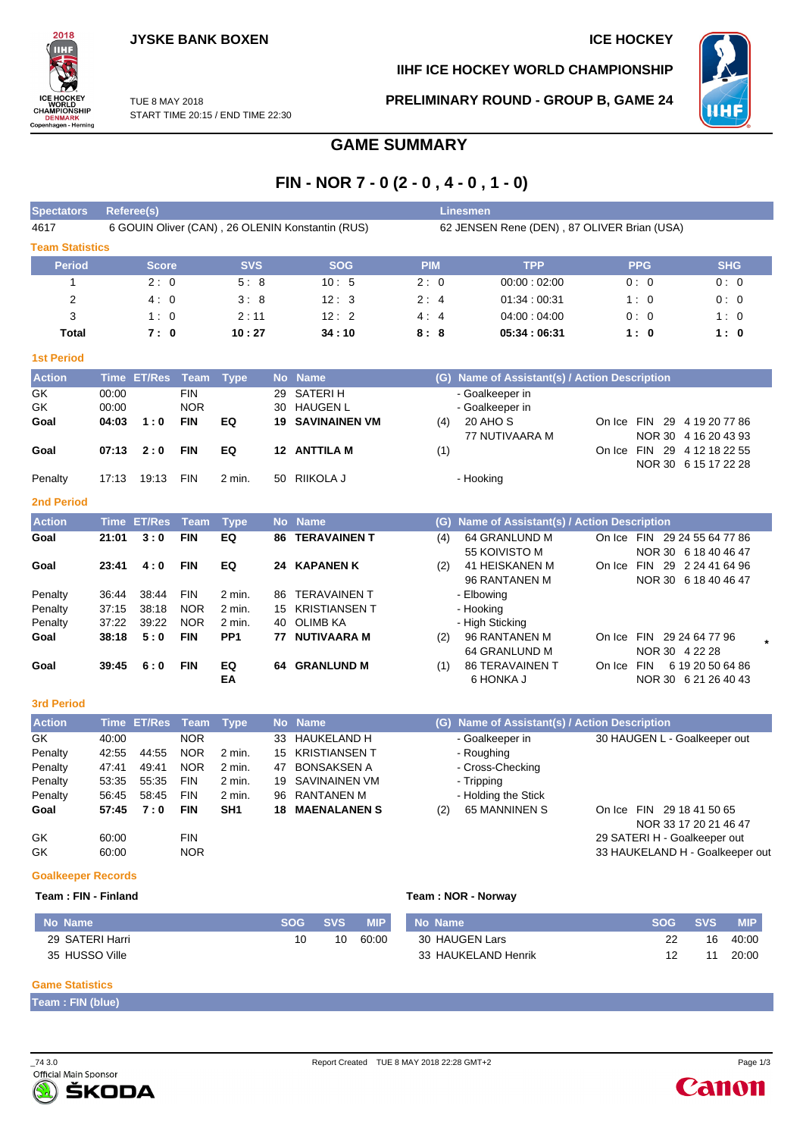

**IIHF ICE HOCKEY WORLD CHAMPIONSHIP**

**PRELIMINARY ROUND - GROUP B, GAME 24**



TUE 8 MAY 2018 START TIME 20:15 / END TIME 22:30

# **GAME SUMMARY**

# **FIN - NOR 7 - 0 (2 - 0 , 4 - 0 , 1 - 0)**

| <b>Spectators</b>         |             | Referee(s)         |             |                 |           |                                                  |            | <b>Linesmen</b>                               |                                 |                       |
|---------------------------|-------------|--------------------|-------------|-----------------|-----------|--------------------------------------------------|------------|-----------------------------------------------|---------------------------------|-----------------------|
| 4617                      |             |                    |             |                 |           | 6 GOUIN Oliver (CAN), 26 OLENIN Konstantin (RUS) |            | 62 JENSEN Rene (DEN), 87 OLIVER Brian (USA)   |                                 |                       |
| <b>Team Statistics</b>    |             |                    |             |                 |           |                                                  |            |                                               |                                 |                       |
| <b>Period</b>             |             | <b>Score</b>       |             | <b>SVS</b>      |           | <b>SOG</b>                                       | <b>PIM</b> | <b>TPP</b>                                    | <b>PPG</b>                      | <b>SHG</b>            |
| 1                         |             | 2:0                |             | 5:8             |           | 10:5                                             | 2:0        | 00:00:02:00                                   | 0:0                             | 0:0                   |
| $\overline{2}$            |             | 4:0                |             | 3:8             |           | 12:3                                             | 2:4        | 01:34:00:31                                   | 1:0                             | 0:0                   |
| 3                         |             | 1:0                |             | 2:11            |           | 12:2                                             | 4:4        | 04:00:04:00                                   | 0:0                             | 1:0                   |
| <b>Total</b>              |             | 7:0                |             | 10:27           |           | 34:10                                            | 8:8        | 05:34:06:31                                   | 1:0                             | 1:0                   |
| <b>1st Period</b>         |             |                    |             |                 |           |                                                  |            |                                               |                                 |                       |
| <b>Action</b>             | <b>Time</b> | <b>ET/Res</b>      | <b>Team</b> | <b>Type</b>     | <b>No</b> | <b>Name</b>                                      |            | (G) Name of Assistant(s) / Action Description |                                 |                       |
| GK                        | 00:00       |                    | <b>FIN</b>  |                 | 29        | <b>SATERIH</b>                                   |            | - Goalkeeper in                               |                                 |                       |
| GK                        | 00:00       |                    | <b>NOR</b>  |                 | 30        | <b>HAUGEN L</b>                                  |            | - Goalkeeper in                               |                                 |                       |
| Goal                      | 04:03       | 1:0                | <b>FIN</b>  | EQ              | 19        | <b>SAVINAINEN VM</b>                             | (4)        | 20 AHO S                                      | On Ice FIN 29 4 19 20 77 86     |                       |
|                           |             |                    |             |                 |           |                                                  |            | 77 NUTIVAARA M                                |                                 | NOR 30 4 16 20 43 93  |
| Goal                      | 07:13       | 2:0                | <b>FIN</b>  | EQ              |           | 12 ANTTILA M                                     | (1)        |                                               | On Ice FIN 29 4 12 18 22 55     | NOR 30 6 15 17 22 28  |
| Penalty                   | 17:13       | 19:13              | <b>FIN</b>  | 2 min.          |           | 50 RIIKOLA J                                     |            | - Hooking                                     |                                 |                       |
|                           |             |                    |             |                 |           |                                                  |            |                                               |                                 |                       |
| <b>2nd Period</b>         |             |                    |             |                 |           |                                                  |            |                                               |                                 |                       |
| <b>Action</b>             |             | <b>Time ET/Res</b> | <b>Team</b> | <b>Type</b>     |           | No Name                                          |            | (G) Name of Assistant(s) / Action Description |                                 |                       |
| Goal                      | 21:01       | 3:0                | <b>FIN</b>  | EQ              | 86        | <b>TERAVAINEN T</b>                              | (4)        | 64 GRANLUND M                                 | On Ice FIN 29 24 55 64 77 86    |                       |
| Goal                      | 23:41       | 4:0                | <b>FIN</b>  | EQ              | 24        | <b>KAPANEN K</b>                                 | (2)        | 55 KOIVISTO M<br><b>41 HEISKANEN M</b>        | On Ice FIN 29 2 24 41 64 96     | NOR 30 6 18 40 46 47  |
|                           |             |                    |             |                 |           |                                                  |            | 96 RANTANEN M                                 |                                 | NOR 30 6 18 40 46 47  |
| Penalty                   | 36:44       | 38.44              | <b>FIN</b>  | 2 min.          | 86        | <b>TERAVAINEN T</b>                              |            | - Elbowing                                    |                                 |                       |
| Penalty                   | 37:15       | 38:18              | <b>NOR</b>  | 2 min.          | 15        | <b>KRISTIANSEN T</b>                             |            | - Hooking                                     |                                 |                       |
| Penalty                   | 37:22       | 39:22              | <b>NOR</b>  | 2 min.          | 40        | <b>OLIMB KA</b>                                  |            | - High Sticking                               |                                 |                       |
| Goal                      | 38:18       | 5:0                | <b>FIN</b>  | PP <sub>1</sub> | 77        | <b>NUTIVAARA M</b>                               | (2)        | 96 RANTANEN M                                 | On Ice FIN 29 24 64 77 96       |                       |
|                           |             |                    |             |                 |           |                                                  |            | 64 GRANLUND M                                 | NOR 30 4 22 28                  |                       |
| Goal                      | 39:45       | 6:0                | <b>FIN</b>  | EQ              |           | <b>64 GRANLUND M</b>                             | (1)        | <b>86 TERAVAINEN T</b>                        | On Ice FIN                      | 6 19 20 50 64 86      |
|                           |             |                    |             | EA              |           |                                                  |            | 6 HONKA J                                     |                                 | NOR 30 6 21 26 40 43  |
| <b>3rd Period</b>         |             |                    |             |                 |           |                                                  |            |                                               |                                 |                       |
| <b>Action</b>             | <b>Time</b> | <b>ET/Res</b>      | Team        | <b>Type</b>     | <b>No</b> | <b>Name</b>                                      |            | (G) Name of Assistant(s) / Action Description |                                 |                       |
| GK                        | 40:00       |                    | <b>NOR</b>  |                 | 33        | <b>HAUKELAND H</b>                               |            | - Goalkeeper in                               | 30 HAUGEN L - Goalkeeper out    |                       |
| Penalty                   | 42:55       | 44:55              | <b>NOR</b>  | 2 min.          | 15        | <b>KRISTIANSEN T</b>                             |            | - Roughing                                    |                                 |                       |
| Penalty                   | 47:41       | 49:41              | <b>NOR</b>  | 2 min.          | 47        | <b>BONSAKSEN A</b>                               |            | - Cross-Checking                              |                                 |                       |
| Penalty                   | 53:35       | 55:35              | <b>FIN</b>  | 2 min.          | 19        | <b>SAVINAINEN VM</b>                             |            | - Tripping                                    |                                 |                       |
| Penalty                   | 56:45       | 58:45              | <b>FIN</b>  | 2 min.          | 96        | <b>RANTANEN M</b>                                |            | - Holding the Stick                           |                                 |                       |
| Goal                      | 57:45       | 7:0                | <b>FIN</b>  | SH <sub>1</sub> | 18        | <b>MAENALANEN S</b>                              | (2)        | <b>65 MANNINEN S</b>                          | On Ice FIN 29 18 41 50 65       |                       |
|                           |             |                    |             |                 |           |                                                  |            |                                               |                                 | NOR 33 17 20 21 46 47 |
| GK                        | 60:00       |                    | <b>FIN</b>  |                 |           |                                                  |            |                                               | 29 SATERI H - Goalkeeper out    |                       |
| GK                        | 60:00       |                    | <b>NOR</b>  |                 |           |                                                  |            |                                               | 33 HAUKELAND H - Goalkeeper out |                       |
| <b>Goalkeeper Records</b> |             |                    |             |                 |           |                                                  |            |                                               |                                 |                       |
| Team: FIN - Finland       |             |                    |             |                 |           |                                                  |            | Team: NOR - Norway                            |                                 |                       |

| Mo Name         | <b>SOG</b> | <b>SVS</b> | <b>MIP</b> | No Name             | SOG | <b>SVS</b> | <b>MIP</b> |
|-----------------|------------|------------|------------|---------------------|-----|------------|------------|
| 29 SATERI Harri |            | 10         | 60:00      | 30 HAUGEN Lars      |     | 16         | 40:00      |
| 35 HUSSO Ville  |            |            |            | 33 HAUKELAND Henrik |     |            | 20:00      |

#### **Game Statistics**

**Team : FIN (blue)**



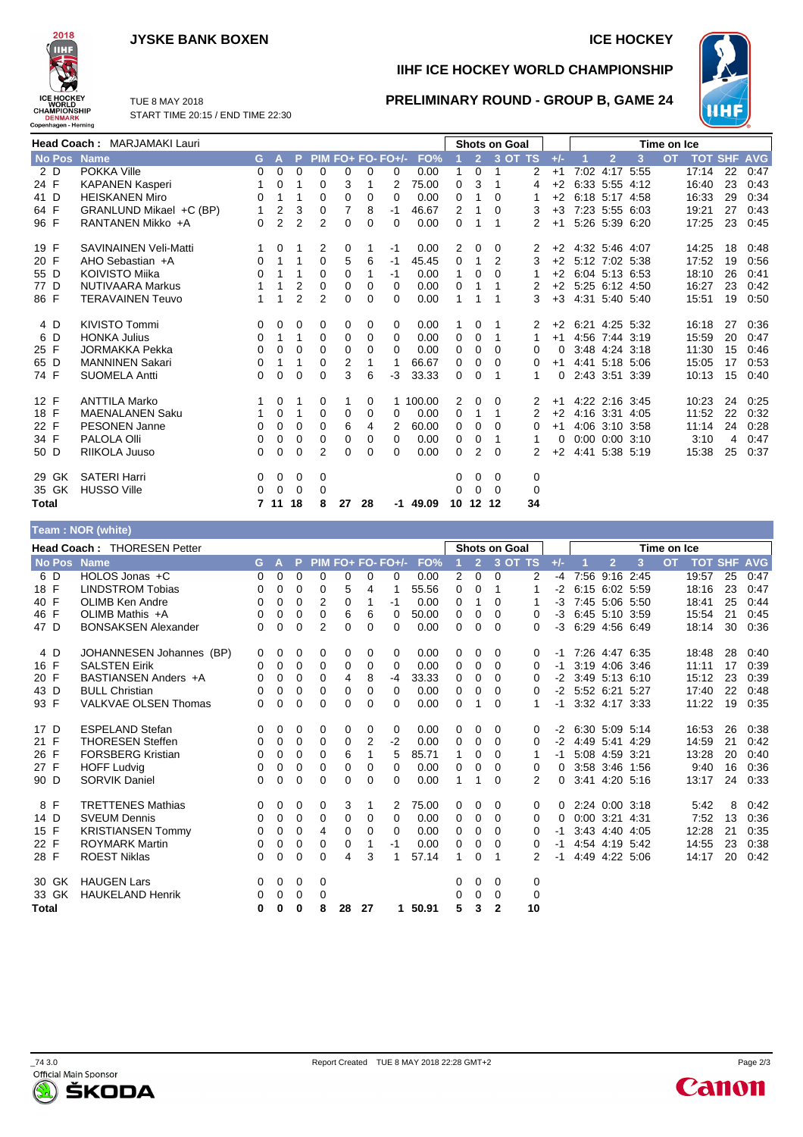## **JYSKE BANK BOXEN ICE HOCKEY**



**IIHF ICE HOCKEY WORLD CHAMPIONSHIP**

**PRELIMINARY ROUND - GROUP B, GAME 24**



TUE 8 MAY 2018 START TIME 20:15 / END TIME 22:30

|               | Head Coach: MARJAMAKI Lauri |              |                |                |                |                |          |                   |          |          |                | <b>Shots on Goal</b> |         |          |                |                      |      | Time on Ice |                    |    |      |
|---------------|-----------------------------|--------------|----------------|----------------|----------------|----------------|----------|-------------------|----------|----------|----------------|----------------------|---------|----------|----------------|----------------------|------|-------------|--------------------|----|------|
| <b>No Pos</b> | <b>Name</b>                 | G.           | $\mathsf{A}$   | P.             |                |                |          | PIM FO+ FO- FO+/- | FO%      |          | $\overline{2}$ |                      | 3 OT TS | $+/-$    |                | $\overline{2}$       | 3    | <b>OT</b>   | <b>TOT SHF AVG</b> |    |      |
| 2 D           | POKKA Ville                 | 0            | 0              | $\Omega$       | $\Omega$       | 0              | $\Omega$ | 0                 | 0.00     | 1        | $\Omega$       | 1                    | 2       | $+1$     |                | 7:02 4:17 5:55       |      |             | 17:14              | 22 | 0:47 |
| 24 F          | <b>KAPANEN Kasperi</b>      |              | 0              | 1              | 0              | 3              |          | 2                 | 75.00    | 0        | 3              | 1                    | 4       | $+2$     |                | 6:33 5:55 4:12       |      |             | 16:40              | 23 | 0:43 |
| 41 D          | <b>HEISKANEN Miro</b>       | 0            | 1              | 1              | $\Omega$       | 0              | 0        | 0                 | 0.00     | 0        | 1              | 0                    |         | $+2$     | 6:18 5:17 4:58 |                      |      |             | 16:33              | 29 | 0:34 |
| 64 F          | GRANLUND Mikael +C (BP)     | $\mathbf{1}$ | $\overline{2}$ | 3              | 0              | 7              | 8        | -1                | 46.67    | 2        |                | 0                    | 3       | $+3$     |                | 7:23 5:55 6:03       |      |             | 19:21              | 27 | 0:43 |
| 96 F          | RANTANEN Mikko +A           | $\Omega$     | $\overline{2}$ | $\overline{2}$ | 2              | 0              | $\Omega$ | 0                 | 0.00     | $\Omega$ | 1              | 1                    | 2       | $+1$     |                | 5:26 5:39 6:20       |      |             | 17:25              | 23 | 0:45 |
| 19 F          | SAVINAINEN Veli-Matti       |              | 0              | 1              | 2              | 0              | 1        | -1                | 0.00     | 2        | 0              | 0                    | 2       | $+2$     | 4:32 5:46 4:07 |                      |      |             | 14:25              | 18 | 0:48 |
| 20 F          | AHO Sebastian +A            | 0            | 1              | 1              | 0              | 5              | 6        | -1                | 45.45    | $\Omega$ | 1              | 2                    | 3       | $+2$     | 5:12 7:02 5:38 |                      |      |             | 17:52              | 19 | 0:56 |
| 55 D          | KOIVISTO Miika              | 0            | 1              | 1              | $\Omega$       | $\Omega$       |          | -1                | 0.00     | 1        | $\Omega$       | 0                    | 1       | $+2$     | 6:04 5:13 6:53 |                      |      |             | 18:10              | 26 | 0:41 |
| 77 D          | NUTIVAARA Markus            |              | 1              | 2              | 0              | $\Omega$       | $\Omega$ | 0                 | 0.00     | 0        |                |                      | 2       | $+2$     | 5:25 6:12 4:50 |                      |      |             | 16:27              | 23 | 0:42 |
| 86 F          | <b>TERAVAINEN Teuvo</b>     |              | 1              | $\overline{2}$ | $\overline{2}$ | 0              | $\Omega$ | 0                 | 0.00     | 1        |                |                      | 3       | $+3$     | 4:31 5:40 5:40 |                      |      |             | 15:51              | 19 | 0:50 |
| 4 D           | <b>KIVISTO Tommi</b>        | 0            | 0              | 0              | 0              | 0              | 0        | 0                 | 0.00     |          | 0              | 1                    | 2       | $+2$     | 6:21 4:25 5:32 |                      |      |             | 16:18              | 27 | 0:36 |
| 6 D           | <b>HONKA Julius</b>         | 0            | 1              | 1              | 0              | 0              | 0        | 0                 | 0.00     | 0        | 0              | 1                    |         | $+1$     |                | 4:56 7:44 3:19       |      |             | 15:59              | 20 | 0:47 |
| 25 F          | <b>JORMAKKA Pekka</b>       | 0            | 0              | 0              | 0              | 0              | $\Omega$ | $\Omega$          | 0.00     | 0        | 0              | $\Omega$             | 0       | $\Omega$ |                | 3:48 4:24 3:18       |      |             | 11:30              | 15 | 0:46 |
| 65 D          | <b>MANNINEN Sakari</b>      | 0            | 1              |                | 0              | $\overline{2}$ |          |                   | 66.67    | 0        | 0              | $\Omega$             | 0       | $+1$     |                | 4:41 5:18 5:06       |      |             | 15:05              | 17 | 0:53 |
| 74 F          | <b>SUOMELA Antti</b>        | 0            | 0              | $\Omega$       | $\Omega$       | 3              | 6        | -3                | 33.33    | 0        | 0              | 1                    | 1       | 0        |                | 2:43 3:51 3:39       |      |             | 10:13              | 15 | 0:40 |
| 12 F          | <b>ANTTILA Marko</b>        | 1            | 0              | 1              | 0              | 1              | 0        |                   | 1 100.00 | 2        | 0              | 0                    | 2       | $+1$     |                | 4:22 2:16 3:45       |      |             | 10:23              | 24 | 0:25 |
| 18 F          | <b>MAENALANEN Saku</b>      |              | 0              | 1              | 0              | 0              | 0        | 0                 | 0.00     | 0        | 1              | 1                    | 2       | $+2$     |                | 4:16 3:31            | 4:05 |             | 11:52              | 22 | 0:32 |
| 22 F          | <b>PESONEN Janne</b>        | 0            | 0              | $\Omega$       | $\Omega$       | 6              | 4        | 2                 | 60.00    | 0        | 0              | 0                    | 0       | $+1$     |                | 4:06 3:10 3:58       |      |             | 11:14              | 24 | 0:28 |
| 34 F          | PALOLA Olli                 | 0            | 0              | 0              | $\Omega$       | 0              | 0        | 0                 | 0.00     | $\Omega$ | 0              | 1                    |         | 0        |                | $0:00$ $0:00$ $3:10$ |      |             | 3:10               | 4  | 0:47 |
| 50 D          | RIIKOLA Juuso               | 0            | $\Omega$       | $\Omega$       | 2              | 0              | 0        | 0                 | 0.00     | 0        | 2              | $\Omega$             | 2       | $+2$     |                | 4:41 5:38 5:19       |      |             | 15:38              | 25 | 0:37 |
| 29 GK         | <b>SATERI Harri</b>         | 0            | 0              | 0              | 0              |                |          |                   |          | 0        | $\mathbf{0}$   | 0                    | 0       |          |                |                      |      |             |                    |    |      |
| 35 GK         | <b>HUSSO Ville</b>          | 0            | 0              | 0              | 0              |                |          |                   |          | 0        | $\Omega$       | 0                    | 0       |          |                |                      |      |             |                    |    |      |
| Total         |                             |              | 7 11           | 18             | 8              | 27             | 28       | -1                | 49.09    | 10       | 12 12          |                      | 34      |          |                |                      |      |             |                    |    |      |

### **Team : NOR (white)**

|               | <b>Head Coach: THORESEN Petter</b> |    |          |          |                |    |                |                   |       |                |                | <b>Shots on Goal</b> |          |          |                     |                |      | Time on Ice |       |                |            |
|---------------|------------------------------------|----|----------|----------|----------------|----|----------------|-------------------|-------|----------------|----------------|----------------------|----------|----------|---------------------|----------------|------|-------------|-------|----------------|------------|
| <b>No Pos</b> | <b>Name</b>                        | G. | A)       | P.       |                |    |                | PIM FO+ FO- FO+/- | FO%   |                | $\overline{2}$ | $3$ OT TS            |          | $+/-$    |                     | $\overline{2}$ | 3    | <b>OT</b>   |       | <b>TOT SHF</b> | <b>AVG</b> |
| 6 D           | HOLOS Jonas +C                     | 0  | 0        | 0        | 0              | 0  | 0              | 0                 | 0.00  | $\overline{2}$ | $\Omega$       | 0                    | 2        | $-4$     |                     | 7:56 9:16 2:45 |      |             | 19:57 | 25             | 0:47       |
| 18 F          | <b>LINDSTROM Tobias</b>            | 0  | 0        | $\Omega$ | 0              | 5  | 4              |                   | 55.56 | 0              | 0              |                      |          | $-2$     |                     | 6:15 6:02 5:59 |      |             | 18:16 | 23             | 0:47       |
| 40 F          | OLIMB Ken Andre                    | 0  | $\Omega$ | $\Omega$ | 2              | 0  | 1              | -1                | 0.00  | 0              |                | 0                    |          | $-3$     |                     | 7:45 5:06 5:50 |      |             | 18:41 | 25             | 0:44       |
| 46 F          | OLIMB Mathis +A                    | 0  | 0        | 0        | 0              | 6  | 6              | $\Omega$          | 50.00 | 0              | 0              | 0                    | 0        | $-3$     |                     | 6.45 5.10 3.59 |      |             | 15:54 | 21             | 0:45       |
| 47 D          | <b>BONSAKSEN Alexander</b>         | 0  | 0        | 0        | $\overline{2}$ | 0  | 0              | $\Omega$          | 0.00  | 0              | 0              | 0                    | 0        | $-3$     |                     | 6:29 4:56 6:49 |      |             | 18:14 | 30             | 0:36       |
| 4 D           | JOHANNESEN Johannes (BP)           | 0  | 0        | 0        | 0              | 0  | 0              | 0                 | 0.00  | 0              | 0              | 0                    | 0        | $-1$     |                     | 7:26 4:47 6:35 |      |             | 18:48 | 28             | 0:40       |
| 16 F          | <b>SALSTEN Eirik</b>               | 0  | 0        | $\Omega$ | $\Omega$       | 0  | 0              | $\Omega$          | 0.00  | 0              | 0              | 0                    | 0        | $-1$     |                     | 3:19 4:06 3:46 |      |             | 11:11 | 17             | 0:39       |
| 20 F          | BASTIANSEN Anders +A               | 0  | 0        | $\Omega$ | 0              | 4  | 8              | -4                | 33.33 | 0              | 0              | 0                    | $\Omega$ | $-2$     |                     | 3:49 5:13 6:10 |      |             | 15:12 | 23             | 0:39       |
| 43 D          | <b>BULL Christian</b>              | 0  | 0        | 0        | 0              | 0  | 0              | $\Omega$          | 0.00  | 0              | 0              | 0                    | 0        |          | $-2$ 5:52 6:21 5:27 |                |      |             | 17:40 | 22             | 0:48       |
| 93 F          | <b>VALKVAE OLSEN Thomas</b>        | 0  | 0        | 0        | 0              | 0  | 0              | 0                 | 0.00  | 0              |                | $\Omega$             |          | -1       |                     | 3:32 4:17 3:33 |      |             | 11:22 | 19             | 0:35       |
| 17 D          | <b>ESPELAND Stefan</b>             | 0  | 0        | 0        | 0              | 0  | 0              | $\Omega$          | 0.00  | 0              | 0              | 0                    | 0        | $-2$     | 6:30 5:09 5:14      |                |      |             | 16:53 | 26             | 0:38       |
| 21 F          | <b>THORESEN Steffen</b>            | 0  | 0        | $\Omega$ | 0              | 0  | $\overline{2}$ | $-2$              | 0.00  | 0              | $\Omega$       | 0                    | 0        | $-2$     | 4:49 5:41 4:29      |                |      |             | 14:59 | 21             | 0:42       |
| 26 F          | <b>FORSBERG Kristian</b>           | 0  | 0        | $\Omega$ | $\Omega$       | 6  | 1              | 5                 | 85.71 | 1              | 0              | $\Omega$             |          | -1       |                     | 5:08 4:59 3:21 |      |             | 13:28 | 20             | 0:40       |
| 27 F          | <b>HOFF Ludvig</b>                 | 0  | 0        | $\Omega$ | 0              | 0  | 0              | $\Omega$          | 0.00  | 0              | 0              | 0                    | 0        | 0        |                     | 3:58 3:46 1:56 |      |             | 9:40  | 16             | 0:36       |
| 90 D          | <b>SORVIK Daniel</b>               | 0  | $\Omega$ | $\Omega$ | $\Omega$       | 0  | 0              | 0                 | 0.00  | 1              | 1              | $\Omega$             | 2        | 0        |                     | 3:41 4:20 5:16 |      |             | 13:17 | 24             | 0:33       |
| 8 F           | <b>TRETTENES Mathias</b>           | 0  | 0        | 0        | 0              | 3  | 1              | 2                 | 75.00 | 0              | 0              | $\Omega$             | 0        | $\Omega$ | 2:24 0:00 3:18      |                |      |             | 5:42  | 8              | 0:42       |
| 14 D          | <b>SVEUM Dennis</b>                | 0  | 0        | 0        | 0              | 0  | 0              | $\Omega$          | 0.00  | 0              | 0              | 0                    | $\Omega$ | 0        |                     | $0:00$ 3:21    | 4:31 |             | 7:52  | 13             | 0:36       |
| 15 F          | <b>KRISTIANSEN Tommy</b>           | 0  | 0        | 0        | 4              | 0  | 0              | $\Omega$          | 0.00  | $\Omega$       | 0              | 0                    | 0        | -1       |                     | 3:43 4:40 4:05 |      |             | 12:28 | 21             | 0:35       |
| 22 F          | <b>ROYMARK Martin</b>              | 0  | 0        | 0        | 0              | 0  |                | -1                | 0.00  | 0              | 0              | 0                    | 0        | -1       |                     | 4:54 4:19 5:42 |      |             | 14:55 | 23             | 0:38       |
| 28 F          | <b>ROEST Niklas</b>                | 0  | 0        | 0        | 0              | 4  | 3              |                   | 57.14 | 1              | 0              |                      | 2        | $-1$     |                     | 4:49 4:22 5:06 |      |             | 14:17 | 20             | 0:42       |
| 30 GK         | <b>HAUGEN Lars</b>                 | 0  | 0        | 0        | 0              |    |                |                   |       | 0              | 0              | 0                    | 0        |          |                     |                |      |             |       |                |            |
| 33 GK         | <b>HAUKELAND Henrik</b>            | 0  | 0        | 0        | 0              |    |                |                   |       | 0              | 0              | $\Omega$             | 0        |          |                     |                |      |             |       |                |            |
| <b>Total</b>  |                                    | 0  | 0        | 0        | 8              | 28 | 27             | 1.                | 50.91 | 5              | 3              | $\mathbf{2}$         | 10       |          |                     |                |      |             |       |                |            |